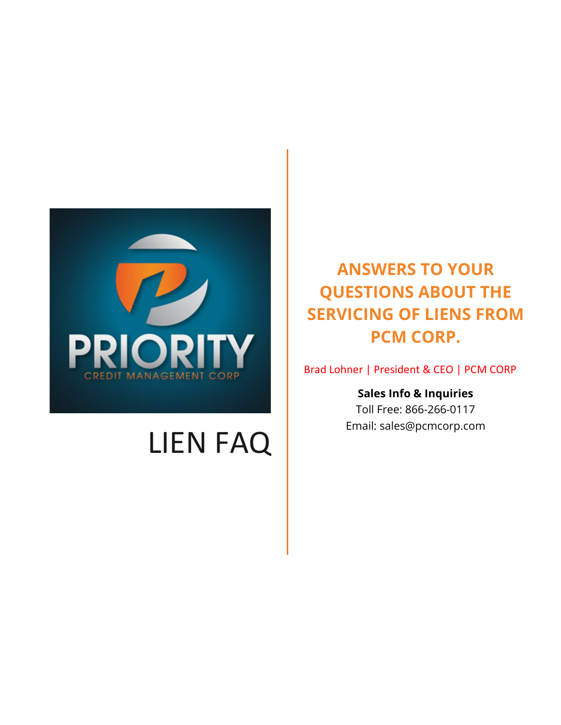

# LIEN FAQ

**ANSWERS TO YOUR QUESTIONS ABOUT THE SERVICING OF LIENS FROM PCM CORP.**

Brad Lohner | President & CEO | PCM CORP

**Sales Info & Inquiries** Toll Free: 866-266-0117 Email: sales@pcmcorp.com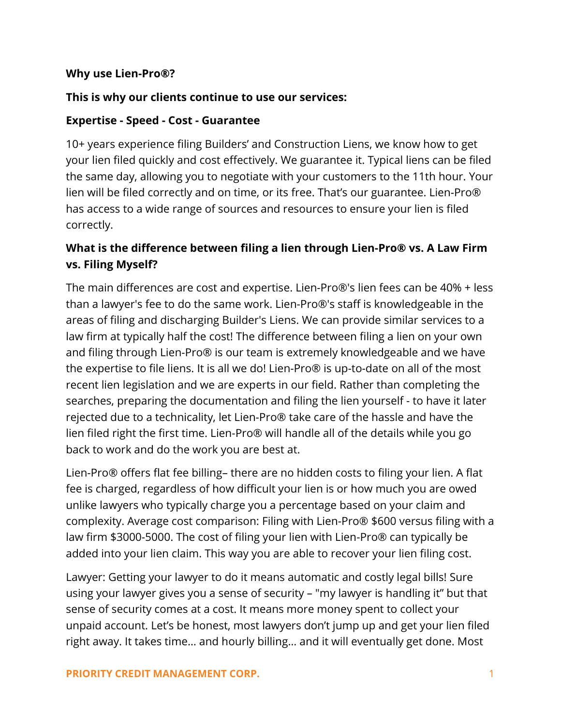#### **Why use Lien-Pro®?**

#### **This is why our clients continue to use our services:**

#### **Expertise - Speed - Cost - Guarantee**

10+ years experience filing Builders' and Construction Liens, we know how to get your lien filed quickly and cost effectively. We guarantee it. Typical liens can be filed the same day, allowing you to negotiate with your customers to the 11th hour. Your lien will be filed correctly and on time, or its free. That's our guarantee. Lien-Pro® has access to a wide range of sources and resources to ensure your lien is filed correctly.

# **What is the difference between filing a lien through Lien-Pro® vs. A Law Firm vs. Filing Myself?**

The main differences are cost and expertise. Lien-Pro®'s lien fees can be 40% + less than a lawyer's fee to do the same work. Lien-Pro®'s staff is knowledgeable in the areas of filing and discharging Builder's Liens. We can provide similar services to a law firm at typically half the cost! The difference between filing a lien on your own and filing through Lien-Pro® is our team is extremely knowledgeable and we have the expertise to file liens. It is all we do! Lien-Pro® is up-to-date on all of the most recent lien legislation and we are experts in our field. Rather than completing the searches, preparing the documentation and filing the lien yourself - to have it later rejected due to a technicality, let Lien-Pro® take care of the hassle and have the lien filed right the first time. Lien-Pro® will handle all of the details while you go back to work and do the work you are best at.

Lien-Pro® offers flat fee billing– there are no hidden costs to filing your lien. A flat fee is charged, regardless of how difficult your lien is or how much you are owed unlike lawyers who typically charge you a percentage based on your claim and complexity. Average cost comparison: Filing with Lien-Pro® \$600 versus filing with a law firm \$3000-5000. The cost of filing your lien with Lien-Pro® can typically be added into your lien claim. This way you are able to recover your lien filing cost.

Lawyer: Getting your lawyer to do it means automatic and costly legal bills! Sure using your lawyer gives you a sense of security – "my lawyer is handling it" but that sense of security comes at a cost. It means more money spent to collect your unpaid account. Let's be honest, most lawyers don't jump up and get your lien filed right away. It takes time… and hourly billing… and it will eventually get done. Most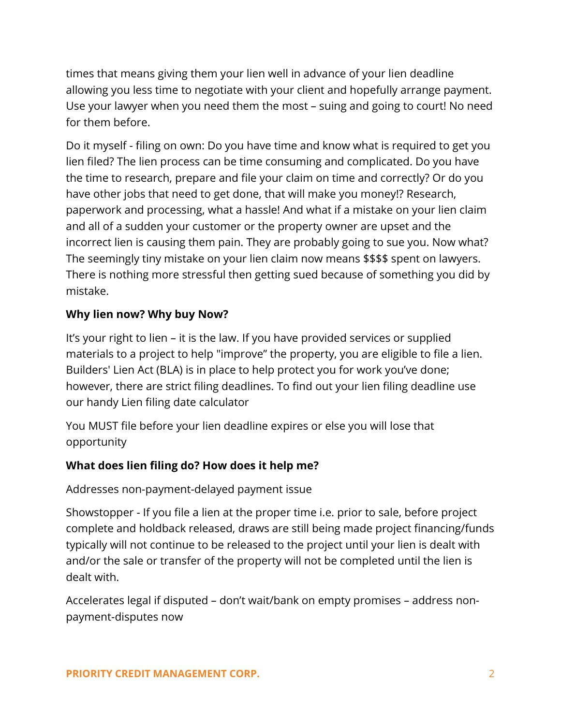times that means giving them your lien well in advance of your lien deadline allowing you less time to negotiate with your client and hopefully arrange payment. Use your lawyer when you need them the most – suing and going to court! No need for them before.

Do it myself - filing on own: Do you have time and know what is required to get you lien filed? The lien process can be time consuming and complicated. Do you have the time to research, prepare and file your claim on time and correctly? Or do you have other jobs that need to get done, that will make you money!? Research, paperwork and processing, what a hassle! And what if a mistake on your lien claim and all of a sudden your customer or the property owner are upset and the incorrect lien is causing them pain. They are probably going to sue you. Now what? The seemingly tiny mistake on your lien claim now means \$\$\$\$ spent on lawyers. There is nothing more stressful then getting sued because of something you did by mistake.

## **Why lien now? Why buy Now?**

It's your right to lien – it is the law. If you have provided services or supplied materials to a project to help "improve" the property, you are eligible to file a lien. Builders' Lien Act (BLA) is in place to help protect you for work you've done; however, there are strict filing deadlines. To find out your lien filing deadline use our handy Lien filing date calculator

You MUST file before your lien deadline expires or else you will lose that opportunity

## **What does lien filing do? How does it help me?**

Addresses non-payment-delayed payment issue

Showstopper - If you file a lien at the proper time i.e. prior to sale, before project complete and holdback released, draws are still being made project financing/funds typically will not continue to be released to the project until your lien is dealt with and/or the sale or transfer of the property will not be completed until the lien is dealt with.

Accelerates legal if disputed – don't wait/bank on empty promises – address nonpayment-disputes now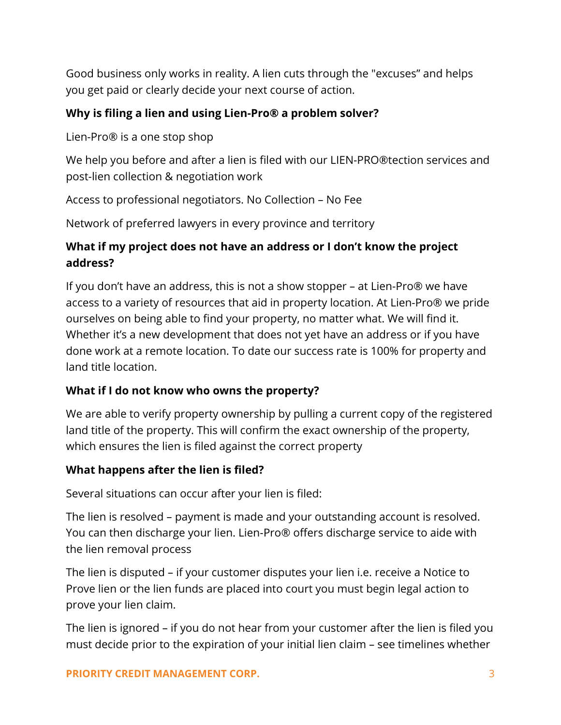Good business only works in reality. A lien cuts through the "excuses" and helps you get paid or clearly decide your next course of action.

## **Why is filing a lien and using Lien-Pro® a problem solver?**

Lien-Pro® is a one stop shop

We help you before and after a lien is filed with our LIEN-PRO®tection services and post-lien collection & negotiation work

Access to professional negotiators. No Collection – No Fee

Network of preferred lawyers in every province and territory

# **What if my project does not have an address or I don't know the project address?**

If you don't have an address, this is not a show stopper – at Lien-Pro® we have access to a variety of resources that aid in property location. At Lien-Pro® we pride ourselves on being able to find your property, no matter what. We will find it. Whether it's a new development that does not yet have an address or if you have done work at a remote location. To date our success rate is 100% for property and land title location.

## **What if I do not know who owns the property?**

We are able to verify property ownership by pulling a current copy of the registered land title of the property. This will confirm the exact ownership of the property, which ensures the lien is filed against the correct property

## **What happens after the lien is filed?**

Several situations can occur after your lien is filed:

The lien is resolved – payment is made and your outstanding account is resolved. You can then discharge your lien. Lien-Pro® offers discharge service to aide with the lien removal process

The lien is disputed – if your customer disputes your lien i.e. receive a Notice to Prove lien or the lien funds are placed into court you must begin legal action to prove your lien claim.

The lien is ignored – if you do not hear from your customer after the lien is filed you must decide prior to the expiration of your initial lien claim – see timelines whether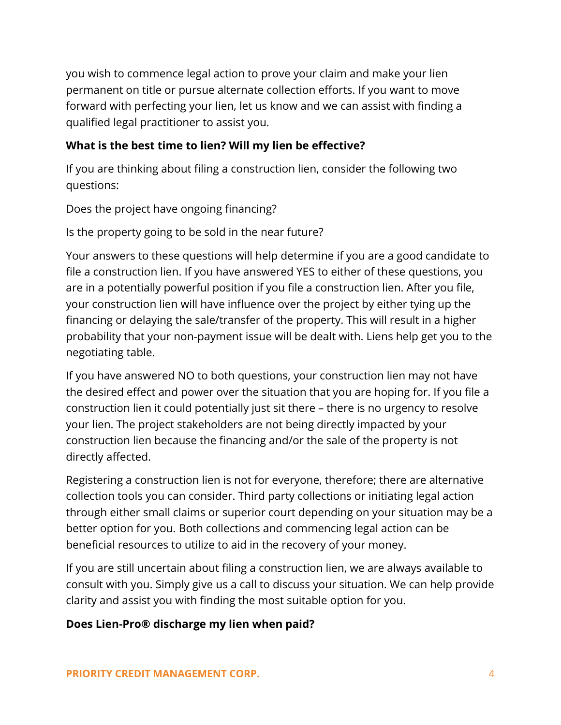you wish to commence legal action to prove your claim and make your lien permanent on title or pursue alternate collection efforts. If you want to move forward with perfecting your lien, let us know and we can assist with finding a qualified legal practitioner to assist you.

## **What is the best time to lien? Will my lien be effective?**

If you are thinking about filing a construction lien, consider the following two questions:

Does the project have ongoing financing?

Is the property going to be sold in the near future?

Your answers to these questions will help determine if you are a good candidate to file a construction lien. If you have answered YES to either of these questions, you are in a potentially powerful position if you file a construction lien. After you file, your construction lien will have influence over the project by either tying up the financing or delaying the sale/transfer of the property. This will result in a higher probability that your non-payment issue will be dealt with. Liens help get you to the negotiating table.

If you have answered NO to both questions, your construction lien may not have the desired effect and power over the situation that you are hoping for. If you file a construction lien it could potentially just sit there – there is no urgency to resolve your lien. The project stakeholders are not being directly impacted by your construction lien because the financing and/or the sale of the property is not directly affected.

Registering a construction lien is not for everyone, therefore; there are alternative collection tools you can consider. Third party collections or initiating legal action through either small claims or superior court depending on your situation may be a better option for you. Both collections and commencing legal action can be beneficial resources to utilize to aid in the recovery of your money.

If you are still uncertain about filing a construction lien, we are always available to consult with you. Simply give us a call to discuss your situation. We can help provide clarity and assist you with finding the most suitable option for you.

#### **Does Lien-Pro® discharge my lien when paid?**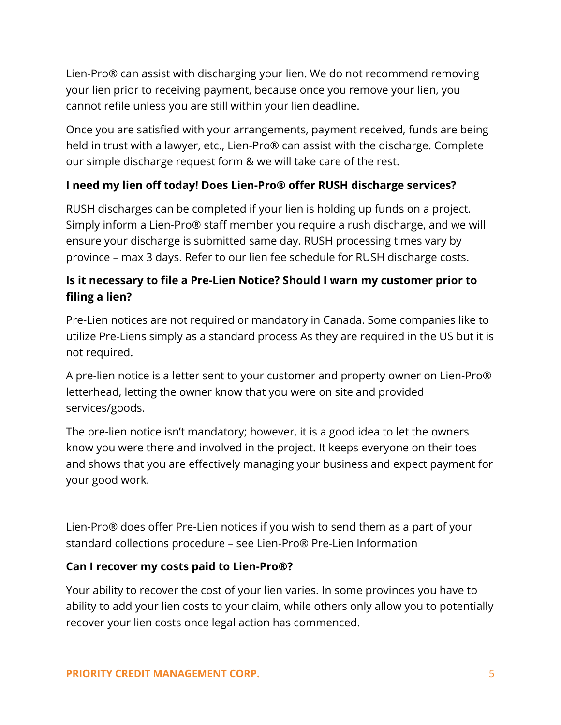Lien-Pro® can assist with discharging your lien. We do not recommend removing your lien prior to receiving payment, because once you remove your lien, you cannot refile unless you are still within your lien deadline.

Once you are satisfied with your arrangements, payment received, funds are being held in trust with a lawyer, etc., Lien-Pro® can assist with the discharge. Complete our simple discharge request form & we will take care of the rest.

## **I need my lien off today! Does Lien-Pro® offer RUSH discharge services?**

RUSH discharges can be completed if your lien is holding up funds on a project. Simply inform a Lien-Pro® staff member you require a rush discharge, and we will ensure your discharge is submitted same day. RUSH processing times vary by province – max 3 days. Refer to our lien fee schedule for RUSH discharge costs.

# **Is it necessary to file a Pre-Lien Notice? Should I warn my customer prior to filing a lien?**

Pre-Lien notices are not required or mandatory in Canada. Some companies like to utilize Pre-Liens simply as a standard process As they are required in the US but it is not required.

A pre-lien notice is a letter sent to your customer and property owner on Lien-Pro® letterhead, letting the owner know that you were on site and provided services/goods.

The pre-lien notice isn't mandatory; however, it is a good idea to let the owners know you were there and involved in the project. It keeps everyone on their toes and shows that you are effectively managing your business and expect payment for your good work.

Lien-Pro® does offer Pre-Lien notices if you wish to send them as a part of your standard collections procedure – see Lien-Pro® Pre-Lien Information

## **Can I recover my costs paid to Lien-Pro®?**

Your ability to recover the cost of your lien varies. In some provinces you have to ability to add your lien costs to your claim, while others only allow you to potentially recover your lien costs once legal action has commenced.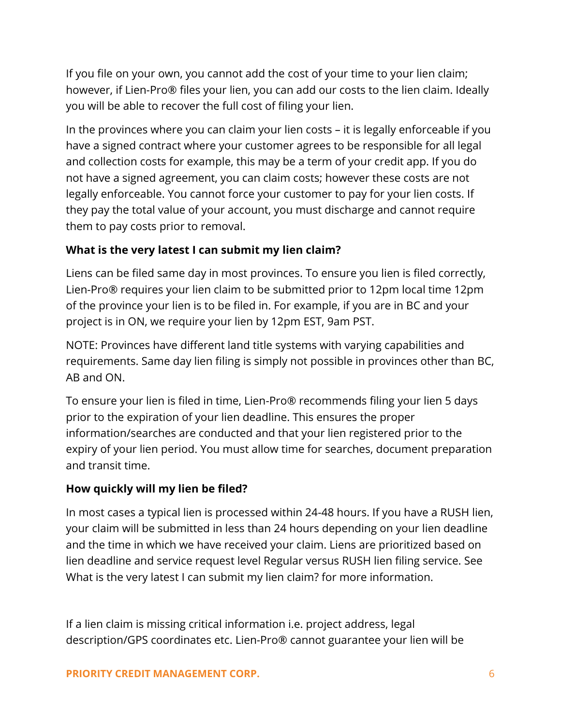If you file on your own, you cannot add the cost of your time to your lien claim; however, if Lien-Pro® files your lien, you can add our costs to the lien claim. Ideally you will be able to recover the full cost of filing your lien.

In the provinces where you can claim your lien costs – it is legally enforceable if you have a signed contract where your customer agrees to be responsible for all legal and collection costs for example, this may be a term of your credit app. If you do not have a signed agreement, you can claim costs; however these costs are not legally enforceable. You cannot force your customer to pay for your lien costs. If they pay the total value of your account, you must discharge and cannot require them to pay costs prior to removal.

## **What is the very latest I can submit my lien claim?**

Liens can be filed same day in most provinces. To ensure you lien is filed correctly, Lien-Pro® requires your lien claim to be submitted prior to 12pm local time 12pm of the province your lien is to be filed in. For example, if you are in BC and your project is in ON, we require your lien by 12pm EST, 9am PST.

NOTE: Provinces have different land title systems with varying capabilities and requirements. Same day lien filing is simply not possible in provinces other than BC, AB and ON.

To ensure your lien is filed in time, Lien-Pro® recommends filing your lien 5 days prior to the expiration of your lien deadline. This ensures the proper information/searches are conducted and that your lien registered prior to the expiry of your lien period. You must allow time for searches, document preparation and transit time.

## **How quickly will my lien be filed?**

In most cases a typical lien is processed within 24-48 hours. If you have a RUSH lien, your claim will be submitted in less than 24 hours depending on your lien deadline and the time in which we have received your claim. Liens are prioritized based on lien deadline and service request level Regular versus RUSH lien filing service. See What is the very latest I can submit my lien claim? for more information.

If a lien claim is missing critical information i.e. project address, legal description/GPS coordinates etc. Lien-Pro® cannot guarantee your lien will be

## **PRIORITY CREDIT MANAGEMENT CORP.** 6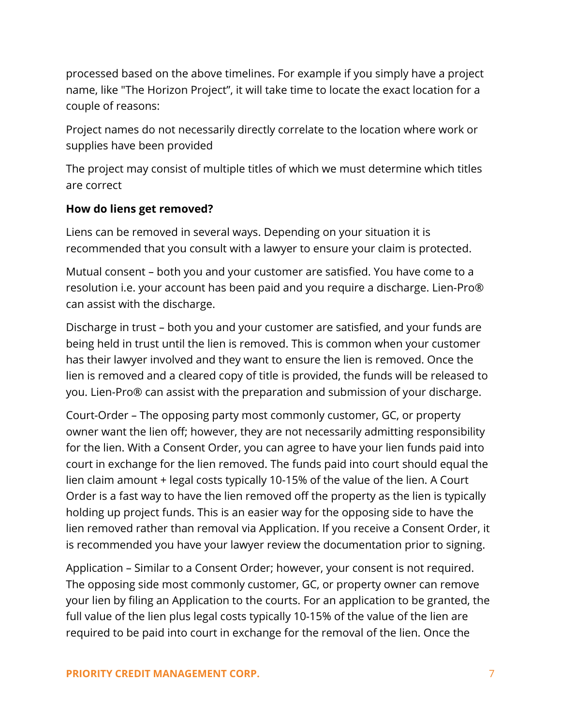processed based on the above timelines. For example if you simply have a project name, like "The Horizon Project", it will take time to locate the exact location for a couple of reasons:

Project names do not necessarily directly correlate to the location where work or supplies have been provided

The project may consist of multiple titles of which we must determine which titles are correct

## **How do liens get removed?**

Liens can be removed in several ways. Depending on your situation it is recommended that you consult with a lawyer to ensure your claim is protected.

Mutual consent – both you and your customer are satisfied. You have come to a resolution i.e. your account has been paid and you require a discharge. Lien-Pro® can assist with the discharge.

Discharge in trust – both you and your customer are satisfied, and your funds are being held in trust until the lien is removed. This is common when your customer has their lawyer involved and they want to ensure the lien is removed. Once the lien is removed and a cleared copy of title is provided, the funds will be released to you. Lien-Pro® can assist with the preparation and submission of your discharge.

Court-Order – The opposing party most commonly customer, GC, or property owner want the lien off; however, they are not necessarily admitting responsibility for the lien. With a Consent Order, you can agree to have your lien funds paid into court in exchange for the lien removed. The funds paid into court should equal the lien claim amount + legal costs typically 10-15% of the value of the lien. A Court Order is a fast way to have the lien removed off the property as the lien is typically holding up project funds. This is an easier way for the opposing side to have the lien removed rather than removal via Application. If you receive a Consent Order, it is recommended you have your lawyer review the documentation prior to signing.

Application – Similar to a Consent Order; however, your consent is not required. The opposing side most commonly customer, GC, or property owner can remove your lien by filing an Application to the courts. For an application to be granted, the full value of the lien plus legal costs typically 10-15% of the value of the lien are required to be paid into court in exchange for the removal of the lien. Once the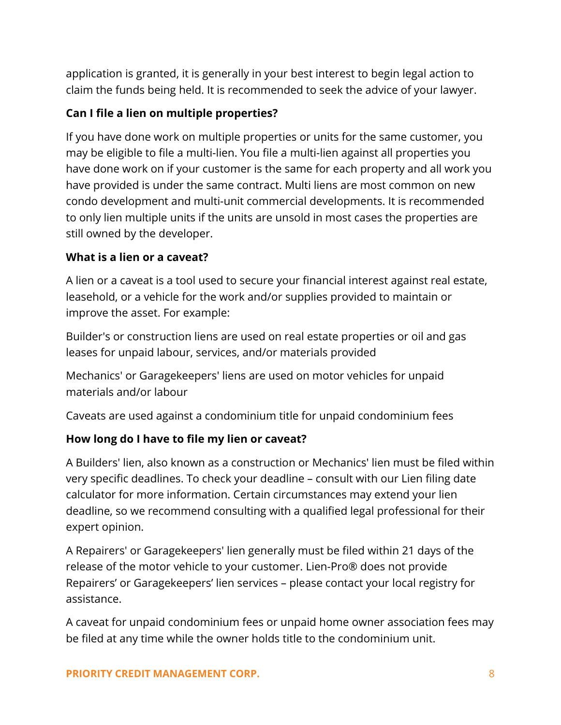application is granted, it is generally in your best interest to begin legal action to claim the funds being held. It is recommended to seek the advice of your lawyer.

## **Can I file a lien on multiple properties?**

If you have done work on multiple properties or units for the same customer, you may be eligible to file a multi-lien. You file a multi-lien against all properties you have done work on if your customer is the same for each property and all work you have provided is under the same contract. Multi liens are most common on new condo development and multi-unit commercial developments. It is recommended to only lien multiple units if the units are unsold in most cases the properties are still owned by the developer.

## **What is a lien or a caveat?**

A lien or a caveat is a tool used to secure your financial interest against real estate, leasehold, or a vehicle for the work and/or supplies provided to maintain or improve the asset. For example:

Builder's or construction liens are used on real estate properties or oil and gas leases for unpaid labour, services, and/or materials provided

Mechanics' or Garagekeepers' liens are used on motor vehicles for unpaid materials and/or labour

Caveats are used against a condominium title for unpaid condominium fees

## **How long do I have to file my lien or caveat?**

A Builders' lien, also known as a construction or Mechanics' lien must be filed within very specific deadlines. To check your deadline – consult with our Lien filing date calculator for more information. Certain circumstances may extend your lien deadline, so we recommend consulting with a qualified legal professional for their expert opinion.

A Repairers' or Garagekeepers' lien generally must be filed within 21 days of the release of the motor vehicle to your customer. Lien-Pro® does not provide Repairers' or Garagekeepers' lien services – please contact your local registry for assistance.

A caveat for unpaid condominium fees or unpaid home owner association fees may be filed at any time while the owner holds title to the condominium unit.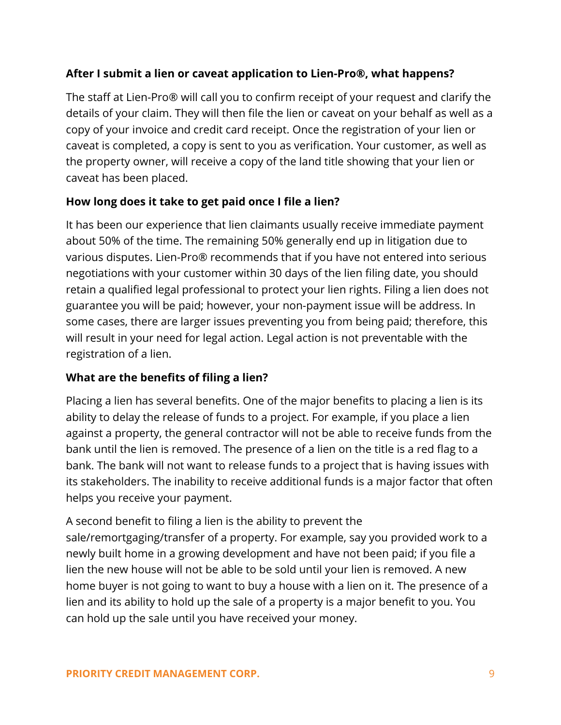## **After I submit a lien or caveat application to Lien-Pro®, what happens?**

The staff at Lien-Pro® will call you to confirm receipt of your request and clarify the details of your claim. They will then file the lien or caveat on your behalf as well as a copy of your invoice and credit card receipt. Once the registration of your lien or caveat is completed, a copy is sent to you as verification. Your customer, as well as the property owner, will receive a copy of the land title showing that your lien or caveat has been placed.

## **How long does it take to get paid once I file a lien?**

It has been our experience that lien claimants usually receive immediate payment about 50% of the time. The remaining 50% generally end up in litigation due to various disputes. Lien-Pro® recommends that if you have not entered into serious negotiations with your customer within 30 days of the lien filing date, you should retain a qualified legal professional to protect your lien rights. Filing a lien does not guarantee you will be paid; however, your non-payment issue will be address. In some cases, there are larger issues preventing you from being paid; therefore, this will result in your need for legal action. Legal action is not preventable with the registration of a lien.

## **What are the benefits of filing a lien?**

Placing a lien has several benefits. One of the major benefits to placing a lien is its ability to delay the release of funds to a project. For example, if you place a lien against a property, the general contractor will not be able to receive funds from the bank until the lien is removed. The presence of a lien on the title is a red flag to a bank. The bank will not want to release funds to a project that is having issues with its stakeholders. The inability to receive additional funds is a major factor that often helps you receive your payment.

A second benefit to filing a lien is the ability to prevent the sale/remortgaging/transfer of a property. For example, say you provided work to a newly built home in a growing development and have not been paid; if you file a lien the new house will not be able to be sold until your lien is removed. A new home buyer is not going to want to buy a house with a lien on it. The presence of a lien and its ability to hold up the sale of a property is a major benefit to you. You can hold up the sale until you have received your money.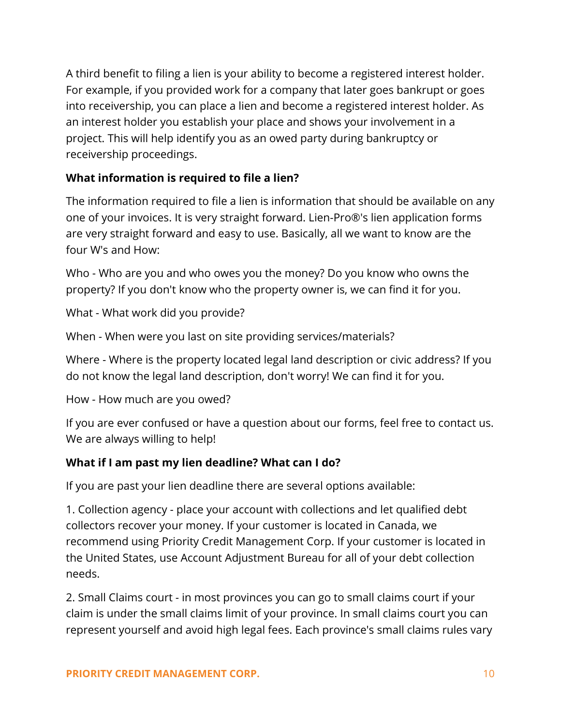A third benefit to filing a lien is your ability to become a registered interest holder. For example, if you provided work for a company that later goes bankrupt or goes into receivership, you can place a lien and become a registered interest holder. As an interest holder you establish your place and shows your involvement in a project. This will help identify you as an owed party during bankruptcy or receivership proceedings.

## **What information is required to file a lien?**

The information required to file a lien is information that should be available on any one of your invoices. It is very straight forward. Lien-Pro®'s lien application forms are very straight forward and easy to use. Basically, all we want to know are the four W's and How:

Who - Who are you and who owes you the money? Do you know who owns the property? If you don't know who the property owner is, we can find it for you.

What - What work did you provide?

When - When were you last on site providing services/materials?

Where - Where is the property located legal land description or civic address? If you do not know the legal land description, don't worry! We can find it for you.

How - How much are you owed?

If you are ever confused or have a question about our forms, feel free to contact us. We are always willing to help!

## **What if I am past my lien deadline? What can I do?**

If you are past your lien deadline there are several options available:

1. Collection agency - place your account with collections and let qualified debt collectors recover your money. If your customer is located in Canada, we recommend using Priority Credit Management Corp. If your customer is located in the United States, use Account Adjustment Bureau for all of your debt collection needs.

2. Small Claims court - in most provinces you can go to small claims court if your claim is under the small claims limit of your province. In small claims court you can represent yourself and avoid high legal fees. Each province's small claims rules vary